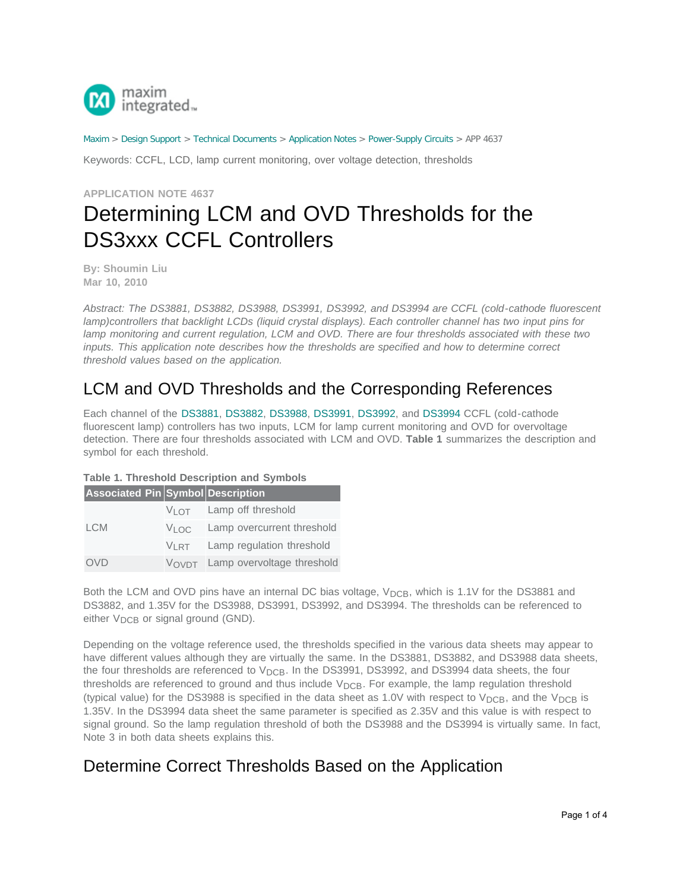

[Maxim](http://www.maximintegrated.com/) > [Design Support](http://www.maximintegrated.com/design/) > [Technical Documents](http://www.maximintegrated.com/design/techdocs/) > [Application Notes](http://www.maximintegrated.com/design/techdocs/app-notes/index.mvp) > [Power-Supply Circuits](http://www.maximintegrated.com/design/techdocs/app-notes/index.mvp/id/20/c/Power-Supply%20Circuits#c20) > APP 4637

Keywords: CCFL, LCD, lamp current monitoring, over voltage detection, thresholds

**APPLICATION NOTE 4637**

# Determining LCM and OVD Thresholds for the DS3xxx CCFL Controllers

**By: Shoumin Liu Mar 10, 2010**

*Abstract: The DS3881, DS3882, DS3988, DS3991, DS3992, and DS3994 are CCFL (cold-cathode fluorescent lamp)controllers that backlight LCDs (liquid crystal displays). Each controller channel has two input pins for lamp monitoring and current regulation, LCM and OVD. There are four thresholds associated with these two inputs. This application note describes how the thresholds are specified and how to determine correct threshold values based on the application.*

# LCM and OVD Thresholds and the Corresponding References

Each channel of the [DS3881,](http://www.maximintegrated.com/DS3881) [DS3882,](http://www.maximintegrated.com/DS3882) [DS3988,](http://www.maximintegrated.com/DS3988) [DS3991,](http://www.maximintegrated.com/DS3991) [DS3992,](http://www.maximintegrated.com/DS3992) and [DS3994](http://www.maximintegrated.com/DS3994) CCFL (cold-cathode fluorescent lamp) controllers has two inputs, LCM for lamp current monitoring and OVD for overvoltage detection. There are four thresholds associated with LCM and OVD. **Table 1** summarizes the description and symbol for each threshold.

| Associated Pin Symbol Description |                                            |
|-----------------------------------|--------------------------------------------|
|                                   | VLOT Lamp off threshold                    |
| <b>LCM</b>                        | $V_{1}$ oc Lamp overcurrent threshold      |
|                                   | V <sub>LRT</sub> Lamp regulation threshold |
| OVD                               | VOVDT Lamp overvoltage threshold           |

### **Table 1. Threshold Description and Symbols**

Both the LCM and OVD pins have an internal DC bias voltage, V<sub>DCB</sub>, which is 1.1V for the DS3881 and DS3882, and 1.35V for the DS3988, DS3991, DS3992, and DS3994. The thresholds can be referenced to either V<sub>DCB</sub> or signal ground (GND).

Depending on the voltage reference used, the thresholds specified in the various data sheets may appear to have different values although they are virtually the same. In the DS3881, DS3882, and DS3988 data sheets, the four thresholds are referenced to  $V_{DCB}$ . In the DS3991, DS3992, and DS3994 data sheets, the four thresholds are referenced to ground and thus include  $V_{DCB}$ . For example, the lamp regulation threshold (typical value) for the DS3988 is specified in the data sheet as 1.0V with respect to  $V_{DCB}$ , and the  $V_{DCB}$  is 1.35V. In the DS3994 data sheet the same parameter is specified as 2.35V and this value is with respect to signal ground. So the lamp regulation threshold of both the DS3988 and the DS3994 is virtually same. In fact, Note 3 in both data sheets explains this.

# Determine Correct Thresholds Based on the Application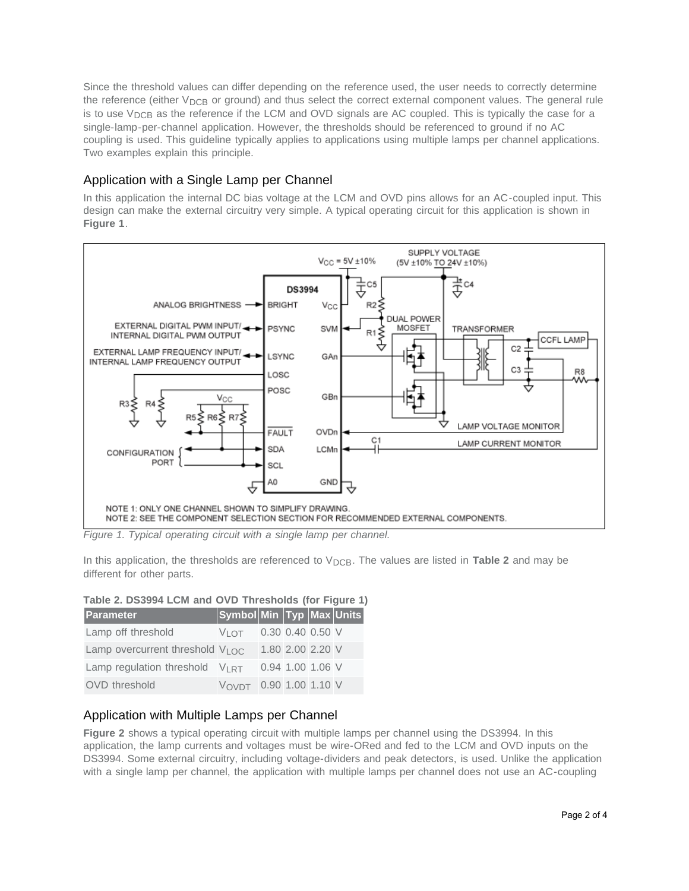Since the threshold values can differ depending on the reference used, the user needs to correctly determine the reference (either  $V_{DCB}$  or ground) and thus select the correct external component values. The general rule is to use  $V_{DCB}$  as the reference if the LCM and OVD signals are AC coupled. This is typically the case for a single-lamp-per-channel application. However, the thresholds should be referenced to ground if no AC coupling is used. This guideline typically applies to applications using multiple lamps per channel applications. Two examples explain this principle.

### Application with a Single Lamp per Channel

In this application the internal DC bias voltage at the LCM and OVD pins allows for an AC-coupled input. This design can make the external circuitry very simple. A typical operating circuit for this application is shown in **Figure 1**.



*Figure 1. Typical operating circuit with a single lamp per channel.*

In this application, the thresholds are referenced to  $V_{DCB}$ . The values are listed in **Table 2** and may be different for other parts.

### **Table 2. DS3994 LCM and OVD Thresholds (for Figure 1)**

| <b>Parameter</b>                    | <mark>∣Symbol Min ∣Typ Max Units</mark> |  |                  |  |
|-------------------------------------|-----------------------------------------|--|------------------|--|
| Lamp off threshold                  | $V_{\text{I O T}}$ 0.30 0.40 0.50 V     |  |                  |  |
| Lamp overcurrent threshold VLOC     |                                         |  | 1.80 2.00 2.20 V |  |
| Lamp regulation threshold $V_{HTT}$ |                                         |  | 0.94 1.00 1.06 V |  |
| <b>OVD</b> threshold                | VOVDT 0.90 1.00 1.10 V                  |  |                  |  |

### Application with Multiple Lamps per Channel

**Figure 2** shows a typical operating circuit with multiple lamps per channel using the DS3994. In this application, the lamp currents and voltages must be wire-ORed and fed to the LCM and OVD inputs on the DS3994. Some external circuitry, including voltage-dividers and peak detectors, is used. Unlike the application with a single lamp per channel, the application with multiple lamps per channel does not use an AC-coupling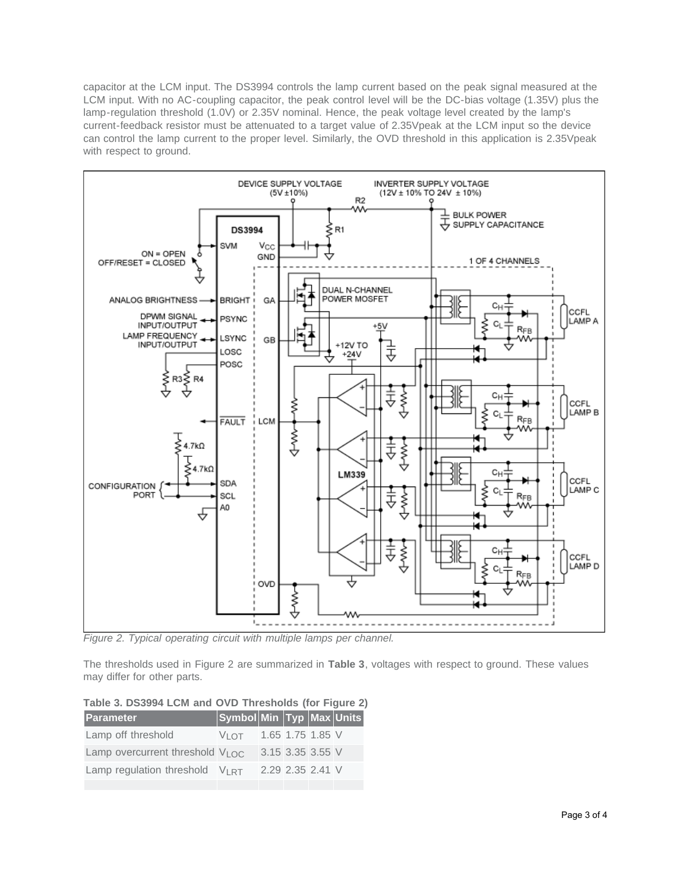capacitor at the LCM input. The DS3994 controls the lamp current based on the peak signal measured at the LCM input. With no AC-coupling capacitor, the peak control level will be the DC-bias voltage (1.35V) plus the lamp-regulation threshold (1.0V) or 2.35V nominal. Hence, the peak voltage level created by the lamp's current-feedback resistor must be attenuated to a target value of 2.35Vpeak at the LCM input so the device can control the lamp current to the proper level. Similarly, the OVD threshold in this application is 2.35Vpeak with respect to ground.



*Figure 2. Typical operating circuit with multiple lamps per channel.*

The thresholds used in Figure 2 are summarized in **Table 3**, voltages with respect to ground. These values may differ for other parts.

| Table 3. DS3994 LCM and OVD Thresholds (for Figure 2) |
|-------------------------------------------------------|
|-------------------------------------------------------|

| <b>Parameter</b>                         | Symbol Min Typ Max Units            |                  |  |
|------------------------------------------|-------------------------------------|------------------|--|
| Lamp off threshold                       | $V_{\text{I O T}}$ 1.65 1.75 1.85 V |                  |  |
| Lamp overcurrent threshold $V_{1}\Omega$ |                                     | 3.15 3.35 3.55 V |  |
| Lamp regulation threshold $V_{LRT}$      |                                     | 2.29 2.35 2.41 V |  |
|                                          |                                     |                  |  |